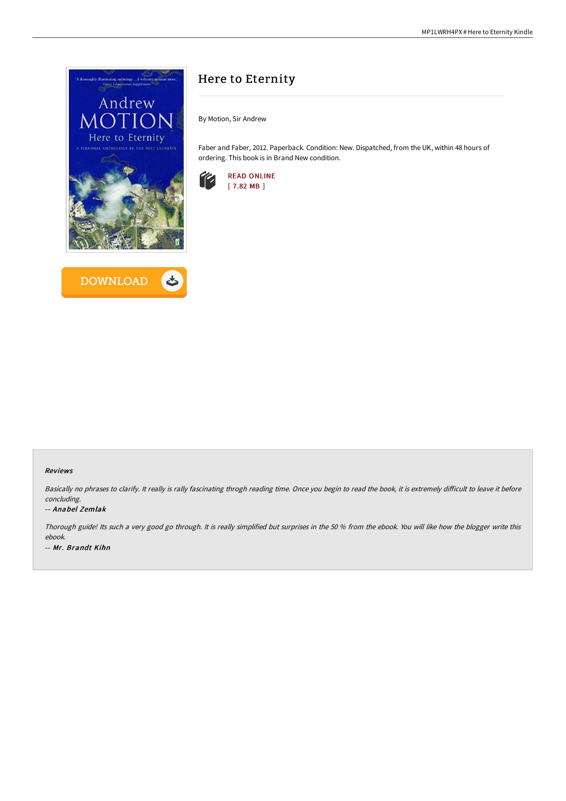



# Here to Eternity

By Motion, Sir Andrew

Faber and Faber, 2012. Paperback. Condition: New. Dispatched, from the UK, within 48 hours of ordering. This book is in Brand New condition.



### Reviews

Basically no phrases to clarify. It really is rally fascinating throgh reading time. Once you begin to read the book, it is extremely difficult to leave it before concluding.

### -- Anabel Zemlak

Thorough guide! Its such <sup>a</sup> very good go through. It is really simplified but surprises in the <sup>50</sup> % from the ebook. You will like how the blogger write this ebook. -- Mr. Brandt Kihn